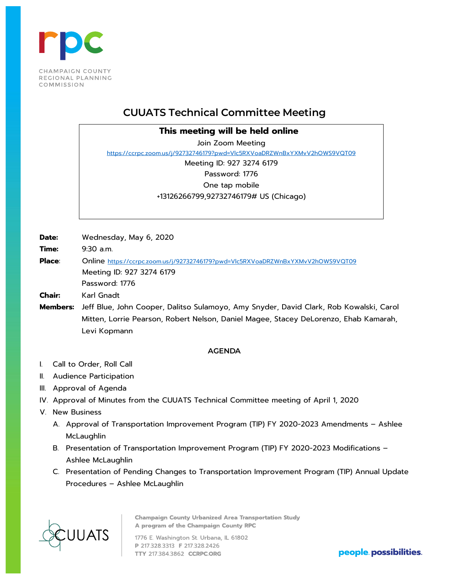

## **CUUATS Technical Committee Meeting**

**This meeting will be held online**

Join Zoom Meeting <https://ccrpc.zoom.us/j/92732746179?pwd=Vlc5RXVoaDRZWnBxYXMvV2hOWS9VQT09> Meeting ID: 927 3274 6179

Password: 1776 One tap mobile

+13126266799,92732746179# US (Chicago)

**Date:** Wednesday, May 6, 2020

**Time:** 9:30 a.m.

Place: Online<https://ccrpc.zoom.us/j/92732746179?pwd=Vlc5RXVoaDRZWnBxYXMvV2hOWS9VQT09> Meeting ID: 927 3274 6179 Password: 1776

**Chair:** Karl Gnadt

**Members:** Jeff Blue, John Cooper, Dalitso Sulamoyo, Amy Snyder, David Clark, Rob Kowalski, Carol Mitten, Lorrie Pearson, Robert Nelson, Daniel Magee, Stacey DeLorenzo, Ehab Kamarah, Levi Kopmann

## **AGENDA**

- I. Call to Order, Roll Call
- II. Audience Participation
- III. Approval of Agenda
- IV. Approval of Minutes from the CUUATS Technical Committee meeting of April 1, 2020
- V. New Business
	- A. Approval of Transportation Improvement Program (TIP) FY 2020-2023 Amendments Ashlee McLaughlin
	- B. Presentation of Transportation Improvement Program (TIP) FY 2020-2023 Modifications Ashlee McLaughlin
	- C. Presentation of Pending Changes to Transportation Improvement Program (TIP) Annual Update Procedures – Ashlee McLaughlin



**Champaign County Urbanized Area Transportation Study** A program of the Champaign County RPC

1776 E. Washington St. Urbana, IL 61802 P 217.328.3313 F 217.328.2426 TTY 217.384.3862 CCRPC.ORG